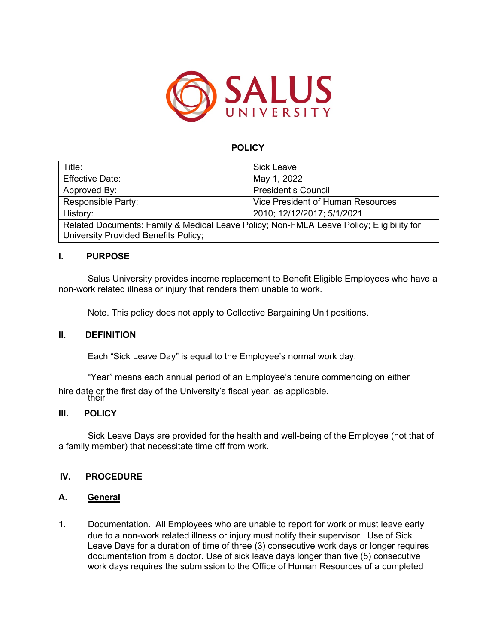

# **POLICY**

| Title:                                                                                                                           | <b>Sick Leave</b>                 |
|----------------------------------------------------------------------------------------------------------------------------------|-----------------------------------|
| <b>Effective Date:</b>                                                                                                           | May 1, 2022                       |
| Approved By:                                                                                                                     | <b>President's Council</b>        |
| Responsible Party:                                                                                                               | Vice President of Human Resources |
| History:                                                                                                                         | 2010; 12/12/2017; 5/1/2021        |
| Related Documents: Family & Medical Leave Policy; Non-FMLA Leave Policy; Eligibility for<br>University Provided Benefits Policy; |                                   |

### **I. PURPOSE**

Salus University provides income replacement to Benefit Eligible Employees who have a non-work related illness or injury that renders them unable to work.

Note. This policy does not apply to Collective Bargaining Unit positions.

### **II. DEFINITION**

Each "Sick Leave Day" is equal to the Employee's normal work day.

"Year" means each annual period of an Employee's tenure commencing on either

their hire date or the first day of the University's fiscal year, as applicable.

### **III. POLICY**

Sick Leave Days are provided for the health and well-being of the Employee (not that of a family member) that necessitate time off from work.

### **IV. PROCEDURE**

### **A. General**

1. Documentation. All Employees who are unable to report for work or must leave early due to a non-work related illness or injury must notify their supervisor. Use of Sick Leave Days for a duration of time of three (3) consecutive work days or longer requires documentation from a doctor. Use of sick leave days longer than five (5) consecutive work days requires the submission to the Office of Human Resources of a completed